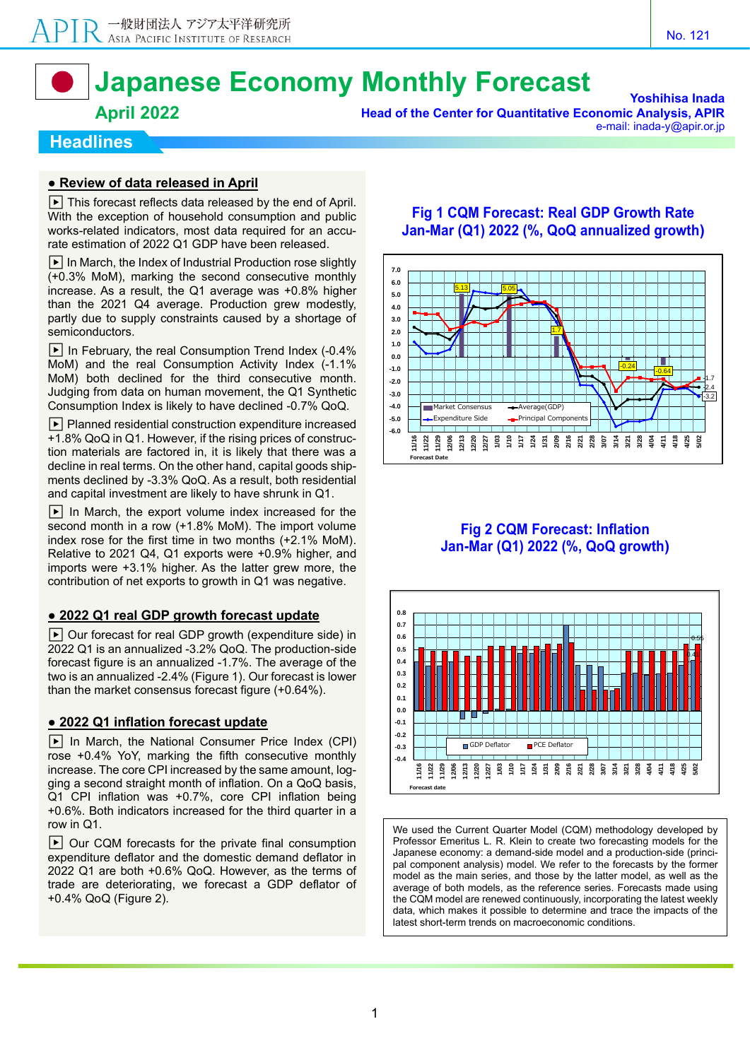# **Japanese Economy Monthly Forecast**

### **April 2022**

**Yoshihisa Inada Head of the Center for Quantitative Economic Analysis, APIR** e-mail: inada-y@apir.or.jp

#### **Headlines**

#### **● Review of data released in April**

 $\boxed{\blacktriangleright}$  This forecast reflects data released by the end of April. With the exception of household consumption and public works-related indicators, most data required for an accurate estimation of 2022 Q1 GDP have been released.

 $\blacktriangleright$  In March, the Index of Industrial Production rose slightly (+0.3% MoM), marking the second consecutive monthly increase. As a result, the Q1 average was +0.8% higher than the 2021 Q4 average. Production grew modestly, partly due to supply constraints caused by a shortage of semiconductors.

 $\blacktriangleright$  In February, the real Consumption Trend Index (-0.4%) MoM) and the real Consumption Activity Index (-1.1% MoM) both declined for the third consecutive month. Judging from data on human movement, the Q1 Synthetic Consumption Index is likely to have declined -0.7% QoQ.

 $\blacktriangleright$  Planned residential construction expenditure increased +1.8% QoQ in Q1. However, if the rising prices of construction materials are factored in, it is likely that there was a decline in real terms. On the other hand, capital goods shipments declined by -3.3% QoQ. As a result, both residential and capital investment are likely to have shrunk in Q1.

 $\blacktriangleright$  In March, the export volume index increased for the second month in a row (+1.8% MoM). The import volume index rose for the first time in two months (+2.1% MoM). Relative to 2021 Q4, Q1 exports were +0.9% higher, and imports were +3.1% higher. As the latter grew more, the contribution of net exports to growth in Q1 was negative.

#### **● 2022 Q1 real GDP growth forecast update**

 $\blacktriangleright$  Our forecast for real GDP growth (expenditure side) in 2022 Q1 is an annualized -3.2% QoQ. The production-side forecast figure is an annualized -1.7%. The average of the two is an annualized -2.4% (Figure 1). Our forecast is lower than the market consensus forecast figure (+0.64%).

#### **● 2022 Q1 inflation forecast update**

 $\blacktriangleright$  In March, the National Consumer Price Index (CPI) rose +0.4% YoY, marking the fifth consecutive monthly increase. The core CPI increased by the same amount, logging a second straight month of inflation. On a QoQ basis, Q1 CPI inflation was +0.7%, core CPI inflation being +0.6%. Both indicators increased for the third quarter in a row in Q1.

 $\blacktriangleright$  Our CQM forecasts for the private final consumption expenditure deflator and the domestic demand deflator in 2022 Q1 are both +0.6% QoQ. However, as the terms of trade are deteriorating, we forecast a GDP deflator of +0.4% QoQ (Figure 2).

#### **Fig 1 CQM Forecast: Real GDP Growth Rate Jan-Mar (Q1) 2022 (%, QoQ annualized growth)**



#### **Fig 2 CQM Forecast: Inflation Jan-Mar (Q1) 2022 (%, QoQ growth)**



We used the Current Quarter Model (CQM) methodology developed by Professor Emeritus L. R. Klein to create two forecasting models for the Japanese economy: a demand-side model and a production-side (principal component analysis) model. We refer to the forecasts by the former model as the main series, and those by the latter model, as well as the average of both models, as the reference series. Forecasts made using the CQM model are renewed continuously, incorporating the latest weekly data, which makes it possible to determine and trace the impacts of the latest short-term trends on macroeconomic conditions.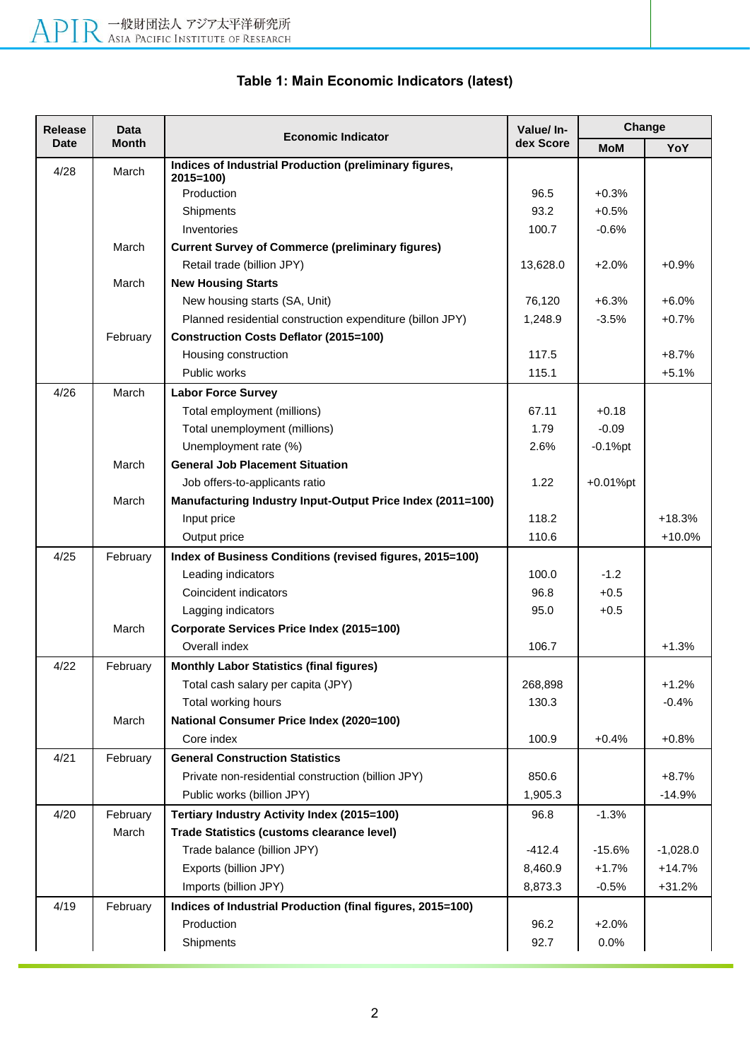| dex Score<br><b>Month</b><br><b>Date</b><br><b>MoM</b><br>Indices of Industrial Production (preliminary figures,<br>4/28<br>March<br>$2015 = 100$<br>Production<br>96.5<br>$+0.3%$<br>93.2<br>Shipments<br>$+0.5%$<br>Inventories<br>100.7<br>$-0.6%$<br>March<br><b>Current Survey of Commerce (preliminary figures)</b><br>Retail trade (billion JPY)<br>13,628.0<br>$+2.0%$<br>March<br><b>New Housing Starts</b><br>76,120<br>New housing starts (SA, Unit)<br>$+6.3%$<br>Planned residential construction expenditure (billon JPY)<br>1,248.9<br>$-3.5%$<br><b>Construction Costs Deflator (2015=100)</b><br>February<br>117.5<br>Housing construction<br>Public works<br>115.1<br>4/26<br>March<br><b>Labor Force Survey</b><br>Total employment (millions)<br>67.11<br>$+0.18$<br>Total unemployment (millions)<br>1.79<br>$-0.09$<br>Unemployment rate (%)<br>2.6%<br>$-0.1%$ pt<br><b>General Job Placement Situation</b><br>March<br>1.22<br>$+0.01%$ pt<br>Job offers-to-applicants ratio<br>Manufacturing Industry Input-Output Price Index (2011=100)<br>March<br>118.2<br>Input price<br>110.6<br>Output price<br>4/25<br>February<br>Index of Business Conditions (revised figures, 2015=100)<br>Leading indicators<br>100.0<br>$-1.2$<br>Coincident indicators<br>96.8<br>$+0.5$<br>95.0<br>$+0.5$<br>Lagging indicators<br>March<br>Corporate Services Price Index (2015=100)<br>Overall index<br>106.7<br>4/22<br><b>Monthly Labor Statistics (final figures)</b><br>February<br>Total cash salary per capita (JPY)<br>268,898<br>Total working hours<br>130.3<br><b>National Consumer Price Index (2020=100)</b><br>March<br>100.9<br>$+0.4%$<br>Core index<br>4/21<br><b>General Construction Statistics</b><br>February<br>850.6<br>Private non-residential construction (billion JPY)<br>Public works (billion JPY)<br>1,905.3<br>4/20<br>February<br>Tertiary Industry Activity Index (2015=100)<br>96.8<br>$-1.3%$<br>March<br><b>Trade Statistics (customs clearance level)</b><br>Trade balance (billion JPY)<br>$-412.4$<br>$-15.6%$<br>Exports (billion JPY)<br>8,460.9<br>$+1.7%$ | <b>Release</b> | Data | <b>Economic Indicator</b> | Value/ In- | Change |            |  |
|----------------------------------------------------------------------------------------------------------------------------------------------------------------------------------------------------------------------------------------------------------------------------------------------------------------------------------------------------------------------------------------------------------------------------------------------------------------------------------------------------------------------------------------------------------------------------------------------------------------------------------------------------------------------------------------------------------------------------------------------------------------------------------------------------------------------------------------------------------------------------------------------------------------------------------------------------------------------------------------------------------------------------------------------------------------------------------------------------------------------------------------------------------------------------------------------------------------------------------------------------------------------------------------------------------------------------------------------------------------------------------------------------------------------------------------------------------------------------------------------------------------------------------------------------------------------------------------------------------------------------------------------------------------------------------------------------------------------------------------------------------------------------------------------------------------------------------------------------------------------------------------------------------------------------------------------------------------------------------------------------------------------------------------------------------------------------------------------------------------|----------------|------|---------------------------|------------|--------|------------|--|
|                                                                                                                                                                                                                                                                                                                                                                                                                                                                                                                                                                                                                                                                                                                                                                                                                                                                                                                                                                                                                                                                                                                                                                                                                                                                                                                                                                                                                                                                                                                                                                                                                                                                                                                                                                                                                                                                                                                                                                                                                                                                                                                |                |      |                           |            |        | YoY        |  |
|                                                                                                                                                                                                                                                                                                                                                                                                                                                                                                                                                                                                                                                                                                                                                                                                                                                                                                                                                                                                                                                                                                                                                                                                                                                                                                                                                                                                                                                                                                                                                                                                                                                                                                                                                                                                                                                                                                                                                                                                                                                                                                                |                |      |                           |            |        |            |  |
|                                                                                                                                                                                                                                                                                                                                                                                                                                                                                                                                                                                                                                                                                                                                                                                                                                                                                                                                                                                                                                                                                                                                                                                                                                                                                                                                                                                                                                                                                                                                                                                                                                                                                                                                                                                                                                                                                                                                                                                                                                                                                                                |                |      |                           |            |        |            |  |
|                                                                                                                                                                                                                                                                                                                                                                                                                                                                                                                                                                                                                                                                                                                                                                                                                                                                                                                                                                                                                                                                                                                                                                                                                                                                                                                                                                                                                                                                                                                                                                                                                                                                                                                                                                                                                                                                                                                                                                                                                                                                                                                |                |      |                           |            |        |            |  |
|                                                                                                                                                                                                                                                                                                                                                                                                                                                                                                                                                                                                                                                                                                                                                                                                                                                                                                                                                                                                                                                                                                                                                                                                                                                                                                                                                                                                                                                                                                                                                                                                                                                                                                                                                                                                                                                                                                                                                                                                                                                                                                                |                |      |                           |            |        |            |  |
|                                                                                                                                                                                                                                                                                                                                                                                                                                                                                                                                                                                                                                                                                                                                                                                                                                                                                                                                                                                                                                                                                                                                                                                                                                                                                                                                                                                                                                                                                                                                                                                                                                                                                                                                                                                                                                                                                                                                                                                                                                                                                                                |                |      |                           |            |        |            |  |
|                                                                                                                                                                                                                                                                                                                                                                                                                                                                                                                                                                                                                                                                                                                                                                                                                                                                                                                                                                                                                                                                                                                                                                                                                                                                                                                                                                                                                                                                                                                                                                                                                                                                                                                                                                                                                                                                                                                                                                                                                                                                                                                |                |      |                           |            |        | $+0.9%$    |  |
|                                                                                                                                                                                                                                                                                                                                                                                                                                                                                                                                                                                                                                                                                                                                                                                                                                                                                                                                                                                                                                                                                                                                                                                                                                                                                                                                                                                                                                                                                                                                                                                                                                                                                                                                                                                                                                                                                                                                                                                                                                                                                                                |                |      |                           |            |        |            |  |
|                                                                                                                                                                                                                                                                                                                                                                                                                                                                                                                                                                                                                                                                                                                                                                                                                                                                                                                                                                                                                                                                                                                                                                                                                                                                                                                                                                                                                                                                                                                                                                                                                                                                                                                                                                                                                                                                                                                                                                                                                                                                                                                |                |      |                           |            |        | $+6.0%$    |  |
|                                                                                                                                                                                                                                                                                                                                                                                                                                                                                                                                                                                                                                                                                                                                                                                                                                                                                                                                                                                                                                                                                                                                                                                                                                                                                                                                                                                                                                                                                                                                                                                                                                                                                                                                                                                                                                                                                                                                                                                                                                                                                                                |                |      |                           |            |        | $+0.7%$    |  |
|                                                                                                                                                                                                                                                                                                                                                                                                                                                                                                                                                                                                                                                                                                                                                                                                                                                                                                                                                                                                                                                                                                                                                                                                                                                                                                                                                                                                                                                                                                                                                                                                                                                                                                                                                                                                                                                                                                                                                                                                                                                                                                                |                |      |                           |            |        |            |  |
|                                                                                                                                                                                                                                                                                                                                                                                                                                                                                                                                                                                                                                                                                                                                                                                                                                                                                                                                                                                                                                                                                                                                                                                                                                                                                                                                                                                                                                                                                                                                                                                                                                                                                                                                                                                                                                                                                                                                                                                                                                                                                                                |                |      |                           |            |        | $+8.7%$    |  |
|                                                                                                                                                                                                                                                                                                                                                                                                                                                                                                                                                                                                                                                                                                                                                                                                                                                                                                                                                                                                                                                                                                                                                                                                                                                                                                                                                                                                                                                                                                                                                                                                                                                                                                                                                                                                                                                                                                                                                                                                                                                                                                                |                |      |                           |            |        | $+5.1%$    |  |
|                                                                                                                                                                                                                                                                                                                                                                                                                                                                                                                                                                                                                                                                                                                                                                                                                                                                                                                                                                                                                                                                                                                                                                                                                                                                                                                                                                                                                                                                                                                                                                                                                                                                                                                                                                                                                                                                                                                                                                                                                                                                                                                |                |      |                           |            |        |            |  |
|                                                                                                                                                                                                                                                                                                                                                                                                                                                                                                                                                                                                                                                                                                                                                                                                                                                                                                                                                                                                                                                                                                                                                                                                                                                                                                                                                                                                                                                                                                                                                                                                                                                                                                                                                                                                                                                                                                                                                                                                                                                                                                                |                |      |                           |            |        |            |  |
|                                                                                                                                                                                                                                                                                                                                                                                                                                                                                                                                                                                                                                                                                                                                                                                                                                                                                                                                                                                                                                                                                                                                                                                                                                                                                                                                                                                                                                                                                                                                                                                                                                                                                                                                                                                                                                                                                                                                                                                                                                                                                                                |                |      |                           |            |        |            |  |
|                                                                                                                                                                                                                                                                                                                                                                                                                                                                                                                                                                                                                                                                                                                                                                                                                                                                                                                                                                                                                                                                                                                                                                                                                                                                                                                                                                                                                                                                                                                                                                                                                                                                                                                                                                                                                                                                                                                                                                                                                                                                                                                |                |      |                           |            |        |            |  |
|                                                                                                                                                                                                                                                                                                                                                                                                                                                                                                                                                                                                                                                                                                                                                                                                                                                                                                                                                                                                                                                                                                                                                                                                                                                                                                                                                                                                                                                                                                                                                                                                                                                                                                                                                                                                                                                                                                                                                                                                                                                                                                                |                |      |                           |            |        |            |  |
|                                                                                                                                                                                                                                                                                                                                                                                                                                                                                                                                                                                                                                                                                                                                                                                                                                                                                                                                                                                                                                                                                                                                                                                                                                                                                                                                                                                                                                                                                                                                                                                                                                                                                                                                                                                                                                                                                                                                                                                                                                                                                                                |                |      |                           |            |        |            |  |
|                                                                                                                                                                                                                                                                                                                                                                                                                                                                                                                                                                                                                                                                                                                                                                                                                                                                                                                                                                                                                                                                                                                                                                                                                                                                                                                                                                                                                                                                                                                                                                                                                                                                                                                                                                                                                                                                                                                                                                                                                                                                                                                |                |      |                           |            |        |            |  |
|                                                                                                                                                                                                                                                                                                                                                                                                                                                                                                                                                                                                                                                                                                                                                                                                                                                                                                                                                                                                                                                                                                                                                                                                                                                                                                                                                                                                                                                                                                                                                                                                                                                                                                                                                                                                                                                                                                                                                                                                                                                                                                                |                |      |                           |            |        | $+18.3%$   |  |
|                                                                                                                                                                                                                                                                                                                                                                                                                                                                                                                                                                                                                                                                                                                                                                                                                                                                                                                                                                                                                                                                                                                                                                                                                                                                                                                                                                                                                                                                                                                                                                                                                                                                                                                                                                                                                                                                                                                                                                                                                                                                                                                |                |      |                           |            |        | $+10.0%$   |  |
|                                                                                                                                                                                                                                                                                                                                                                                                                                                                                                                                                                                                                                                                                                                                                                                                                                                                                                                                                                                                                                                                                                                                                                                                                                                                                                                                                                                                                                                                                                                                                                                                                                                                                                                                                                                                                                                                                                                                                                                                                                                                                                                |                |      |                           |            |        |            |  |
|                                                                                                                                                                                                                                                                                                                                                                                                                                                                                                                                                                                                                                                                                                                                                                                                                                                                                                                                                                                                                                                                                                                                                                                                                                                                                                                                                                                                                                                                                                                                                                                                                                                                                                                                                                                                                                                                                                                                                                                                                                                                                                                |                |      |                           |            |        |            |  |
|                                                                                                                                                                                                                                                                                                                                                                                                                                                                                                                                                                                                                                                                                                                                                                                                                                                                                                                                                                                                                                                                                                                                                                                                                                                                                                                                                                                                                                                                                                                                                                                                                                                                                                                                                                                                                                                                                                                                                                                                                                                                                                                |                |      |                           |            |        |            |  |
|                                                                                                                                                                                                                                                                                                                                                                                                                                                                                                                                                                                                                                                                                                                                                                                                                                                                                                                                                                                                                                                                                                                                                                                                                                                                                                                                                                                                                                                                                                                                                                                                                                                                                                                                                                                                                                                                                                                                                                                                                                                                                                                |                |      |                           |            |        |            |  |
|                                                                                                                                                                                                                                                                                                                                                                                                                                                                                                                                                                                                                                                                                                                                                                                                                                                                                                                                                                                                                                                                                                                                                                                                                                                                                                                                                                                                                                                                                                                                                                                                                                                                                                                                                                                                                                                                                                                                                                                                                                                                                                                |                |      |                           |            |        |            |  |
|                                                                                                                                                                                                                                                                                                                                                                                                                                                                                                                                                                                                                                                                                                                                                                                                                                                                                                                                                                                                                                                                                                                                                                                                                                                                                                                                                                                                                                                                                                                                                                                                                                                                                                                                                                                                                                                                                                                                                                                                                                                                                                                |                |      |                           |            |        | $+1.3%$    |  |
|                                                                                                                                                                                                                                                                                                                                                                                                                                                                                                                                                                                                                                                                                                                                                                                                                                                                                                                                                                                                                                                                                                                                                                                                                                                                                                                                                                                                                                                                                                                                                                                                                                                                                                                                                                                                                                                                                                                                                                                                                                                                                                                |                |      |                           |            |        |            |  |
|                                                                                                                                                                                                                                                                                                                                                                                                                                                                                                                                                                                                                                                                                                                                                                                                                                                                                                                                                                                                                                                                                                                                                                                                                                                                                                                                                                                                                                                                                                                                                                                                                                                                                                                                                                                                                                                                                                                                                                                                                                                                                                                |                |      |                           |            |        | $+1.2%$    |  |
|                                                                                                                                                                                                                                                                                                                                                                                                                                                                                                                                                                                                                                                                                                                                                                                                                                                                                                                                                                                                                                                                                                                                                                                                                                                                                                                                                                                                                                                                                                                                                                                                                                                                                                                                                                                                                                                                                                                                                                                                                                                                                                                |                |      |                           |            |        | $-0.4%$    |  |
|                                                                                                                                                                                                                                                                                                                                                                                                                                                                                                                                                                                                                                                                                                                                                                                                                                                                                                                                                                                                                                                                                                                                                                                                                                                                                                                                                                                                                                                                                                                                                                                                                                                                                                                                                                                                                                                                                                                                                                                                                                                                                                                |                |      |                           |            |        |            |  |
|                                                                                                                                                                                                                                                                                                                                                                                                                                                                                                                                                                                                                                                                                                                                                                                                                                                                                                                                                                                                                                                                                                                                                                                                                                                                                                                                                                                                                                                                                                                                                                                                                                                                                                                                                                                                                                                                                                                                                                                                                                                                                                                |                |      |                           |            |        | $+0.8%$    |  |
|                                                                                                                                                                                                                                                                                                                                                                                                                                                                                                                                                                                                                                                                                                                                                                                                                                                                                                                                                                                                                                                                                                                                                                                                                                                                                                                                                                                                                                                                                                                                                                                                                                                                                                                                                                                                                                                                                                                                                                                                                                                                                                                |                |      |                           |            |        |            |  |
|                                                                                                                                                                                                                                                                                                                                                                                                                                                                                                                                                                                                                                                                                                                                                                                                                                                                                                                                                                                                                                                                                                                                                                                                                                                                                                                                                                                                                                                                                                                                                                                                                                                                                                                                                                                                                                                                                                                                                                                                                                                                                                                |                |      |                           |            |        | $+8.7%$    |  |
|                                                                                                                                                                                                                                                                                                                                                                                                                                                                                                                                                                                                                                                                                                                                                                                                                                                                                                                                                                                                                                                                                                                                                                                                                                                                                                                                                                                                                                                                                                                                                                                                                                                                                                                                                                                                                                                                                                                                                                                                                                                                                                                |                |      |                           |            |        | $-14.9%$   |  |
|                                                                                                                                                                                                                                                                                                                                                                                                                                                                                                                                                                                                                                                                                                                                                                                                                                                                                                                                                                                                                                                                                                                                                                                                                                                                                                                                                                                                                                                                                                                                                                                                                                                                                                                                                                                                                                                                                                                                                                                                                                                                                                                |                |      |                           |            |        |            |  |
|                                                                                                                                                                                                                                                                                                                                                                                                                                                                                                                                                                                                                                                                                                                                                                                                                                                                                                                                                                                                                                                                                                                                                                                                                                                                                                                                                                                                                                                                                                                                                                                                                                                                                                                                                                                                                                                                                                                                                                                                                                                                                                                |                |      |                           |            |        |            |  |
|                                                                                                                                                                                                                                                                                                                                                                                                                                                                                                                                                                                                                                                                                                                                                                                                                                                                                                                                                                                                                                                                                                                                                                                                                                                                                                                                                                                                                                                                                                                                                                                                                                                                                                                                                                                                                                                                                                                                                                                                                                                                                                                |                |      |                           |            |        | $-1,028.0$ |  |
|                                                                                                                                                                                                                                                                                                                                                                                                                                                                                                                                                                                                                                                                                                                                                                                                                                                                                                                                                                                                                                                                                                                                                                                                                                                                                                                                                                                                                                                                                                                                                                                                                                                                                                                                                                                                                                                                                                                                                                                                                                                                                                                |                |      |                           |            |        | $+14.7%$   |  |
| Imports (billion JPY)<br>8,873.3<br>$-0.5%$                                                                                                                                                                                                                                                                                                                                                                                                                                                                                                                                                                                                                                                                                                                                                                                                                                                                                                                                                                                                                                                                                                                                                                                                                                                                                                                                                                                                                                                                                                                                                                                                                                                                                                                                                                                                                                                                                                                                                                                                                                                                    |                |      |                           |            |        | $+31.2%$   |  |
| 4/19<br>February<br>Indices of Industrial Production (final figures, 2015=100)                                                                                                                                                                                                                                                                                                                                                                                                                                                                                                                                                                                                                                                                                                                                                                                                                                                                                                                                                                                                                                                                                                                                                                                                                                                                                                                                                                                                                                                                                                                                                                                                                                                                                                                                                                                                                                                                                                                                                                                                                                 |                |      |                           |            |        |            |  |
| Production<br>96.2<br>$+2.0%$                                                                                                                                                                                                                                                                                                                                                                                                                                                                                                                                                                                                                                                                                                                                                                                                                                                                                                                                                                                                                                                                                                                                                                                                                                                                                                                                                                                                                                                                                                                                                                                                                                                                                                                                                                                                                                                                                                                                                                                                                                                                                  |                |      |                           |            |        |            |  |
| 0.0%<br>Shipments<br>92.7                                                                                                                                                                                                                                                                                                                                                                                                                                                                                                                                                                                                                                                                                                                                                                                                                                                                                                                                                                                                                                                                                                                                                                                                                                                                                                                                                                                                                                                                                                                                                                                                                                                                                                                                                                                                                                                                                                                                                                                                                                                                                      |                |      |                           |            |        |            |  |

# **Table 1: Main Economic Indicators (latest)**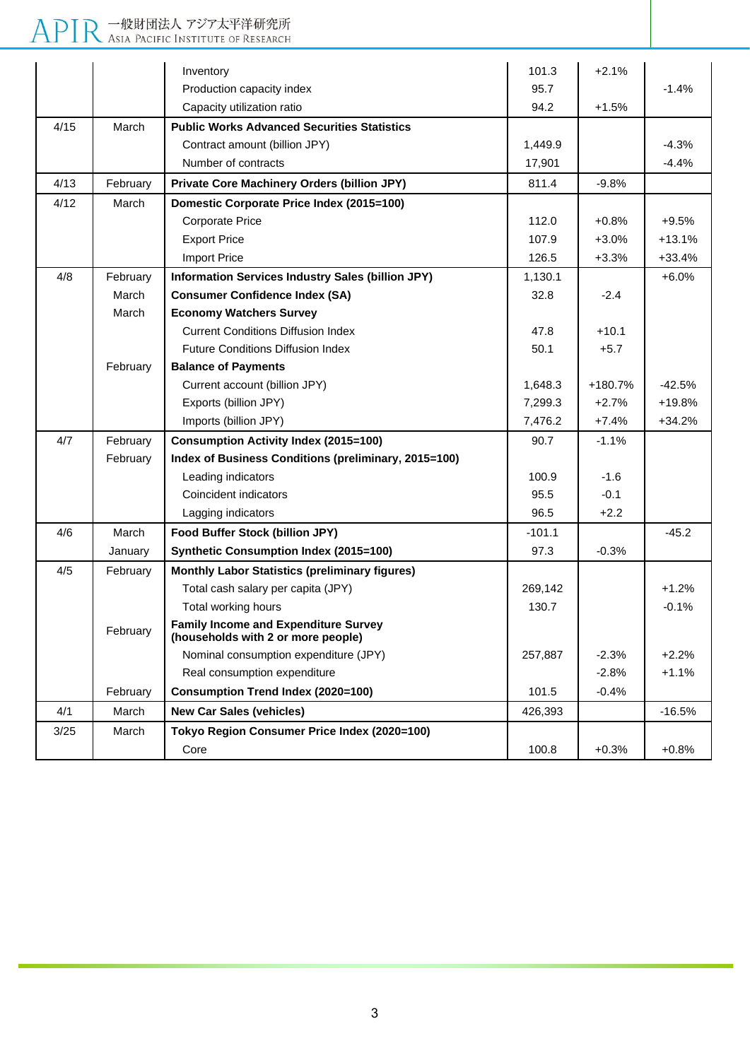# APIR 一般財団法人 アジア太平洋研究所

|      |          | Inventory                                                                         | 101.3    | $+2.1%$ |          |
|------|----------|-----------------------------------------------------------------------------------|----------|---------|----------|
|      |          | Production capacity index                                                         | 95.7     |         | $-1.4%$  |
|      |          | Capacity utilization ratio                                                        | 94.2     | $+1.5%$ |          |
| 4/15 | March    | <b>Public Works Advanced Securities Statistics</b>                                |          |         |          |
|      |          | Contract amount (billion JPY)                                                     | 1,449.9  |         | $-4.3%$  |
|      |          | Number of contracts                                                               | 17,901   |         | $-4.4%$  |
| 4/13 | February | <b>Private Core Machinery Orders (billion JPY)</b>                                | 811.4    | $-9.8%$ |          |
| 4/12 | March    | Domestic Corporate Price Index (2015=100)                                         |          |         |          |
|      |          | <b>Corporate Price</b>                                                            | 112.0    | $+0.8%$ | $+9.5%$  |
|      |          | <b>Export Price</b>                                                               | 107.9    | $+3.0%$ | $+13.1%$ |
|      |          | <b>Import Price</b>                                                               | 126.5    | $+3.3%$ | $+33.4%$ |
| 4/8  | February | Information Services Industry Sales (billion JPY)                                 | 1,130.1  |         | $+6.0%$  |
|      | March    | <b>Consumer Confidence Index (SA)</b>                                             | 32.8     | $-2.4$  |          |
|      | March    | <b>Economy Watchers Survey</b>                                                    |          |         |          |
|      |          | <b>Current Conditions Diffusion Index</b>                                         | 47.8     | $+10.1$ |          |
|      |          | <b>Future Conditions Diffusion Index</b>                                          | 50.1     | $+5.7$  |          |
|      | February | <b>Balance of Payments</b>                                                        |          |         |          |
|      |          | Current account (billion JPY)                                                     | 1,648.3  | +180.7% | -42.5%   |
|      |          | Exports (billion JPY)                                                             | 7,299.3  | $+2.7%$ | $+19.8%$ |
|      |          | Imports (billion JPY)                                                             | 7,476.2  | $+7.4%$ | $+34.2%$ |
| 4/7  | February | <b>Consumption Activity Index (2015=100)</b>                                      | 90.7     | $-1.1%$ |          |
|      | February | Index of Business Conditions (preliminary, 2015=100)                              |          |         |          |
|      |          | Leading indicators                                                                | 100.9    | $-1.6$  |          |
|      |          | Coincident indicators                                                             | 95.5     | $-0.1$  |          |
|      |          | Lagging indicators                                                                | 96.5     | $+2.2$  |          |
| 4/6  | March    | Food Buffer Stock (billion JPY)                                                   | $-101.1$ |         | $-45.2$  |
|      | January  | <b>Synthetic Consumption Index (2015=100)</b>                                     | 97.3     | $-0.3%$ |          |
| 4/5  | February | <b>Monthly Labor Statistics (preliminary figures)</b>                             |          |         |          |
|      |          | Total cash salary per capita (JPY)                                                | 269,142  |         | $+1.2%$  |
|      |          | Total working hours                                                               | 130.7    |         | $-0.1%$  |
|      | February | <b>Family Income and Expenditure Survey</b><br>(households with 2 or more people) |          |         |          |
|      |          | Nominal consumption expenditure (JPY)                                             | 257,887  | $-2.3%$ | $+2.2%$  |
|      |          | Real consumption expenditure                                                      |          | $-2.8%$ | $+1.1%$  |
|      | February | <b>Consumption Trend Index (2020=100)</b>                                         | 101.5    | $-0.4%$ |          |
| 4/1  | March    | <b>New Car Sales (vehicles)</b>                                                   | 426,393  |         | $-16.5%$ |
| 3/25 | March    | Tokyo Region Consumer Price Index (2020=100)                                      |          |         |          |
|      |          | Core                                                                              | 100.8    | $+0.3%$ | $+0.8%$  |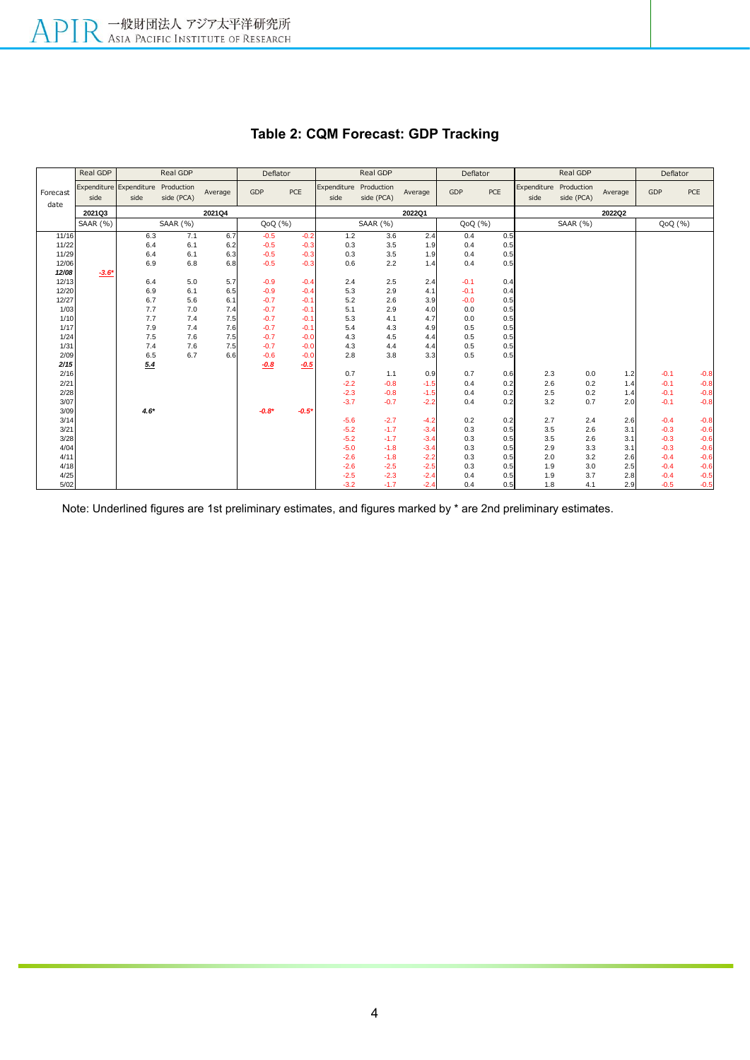|                  | Real GDP | Real GDP                        |                          | Deflator |         | Real GDP |                     |                          | Deflator |        | Real GDP |                     | Deflator                 |         |        |        |
|------------------|----------|---------------------------------|--------------------------|----------|---------|----------|---------------------|--------------------------|----------|--------|----------|---------------------|--------------------------|---------|--------|--------|
| Forecast<br>date | side     | Expenditure Expenditure<br>side | Production<br>side (PCA) | Average  | GDP     | PCE      | Expenditure<br>side | Production<br>side (PCA) | Average  | GDP    | PCE      | Expenditure<br>side | Production<br>side (PCA) | Average | GDP    | PCE    |
|                  | 2021Q3   |                                 |                          | 2021Q4   |         |          |                     |                          | 2022Q1   |        |          |                     |                          | 2022Q2  |        |        |
|                  | SAAR (%) |                                 | SAAR (%)                 |          | QoQ(%)  |          |                     | SAAR (%)                 |          | QoQ(%) |          |                     | SAAR (%)                 |         | QoQ(%) |        |
| 11/16            |          | 6.3                             | 7.1                      | 6.7      | $-0.5$  | $-0.2$   | 1.2                 | 3.6                      | 2.4      | 0.4    | 0.5      |                     |                          |         |        |        |
| 11/22            |          | 6.4                             | 6.1                      | 6.2      | $-0.5$  | $-0.3$   | 0.3                 | 3.5                      | 1.9      | 0.4    | 0.5      |                     |                          |         |        |        |
| 11/29            |          | 6.4                             | 6.1                      | 6.3      | $-0.5$  | $-0.3$   | 0.3                 | 3.5                      | 1.9      | 0.4    | 0.5      |                     |                          |         |        |        |
| 12/06            |          | 6.9                             | 6.8                      | 6.8      | $-0.5$  | $-0.3$   | 0.6                 | 2.2                      | 1.4      | 0.4    | 0.5      |                     |                          |         |        |        |
| 12/08            | $-3.6*$  |                                 |                          |          |         |          |                     |                          |          |        |          |                     |                          |         |        |        |
| 12/13            |          | 6.4                             | 5.0                      | 5.7      | $-0.9$  | $-0.4$   | 2.4                 | 2.5                      | 2.4      | $-0.1$ | 0.4      |                     |                          |         |        |        |
| 12/20            |          | 6.9                             | 6.1                      | 6.5      | $-0.9$  | $-0.4$   | 5.3                 | 2.9                      | 4.1      | $-0.1$ | 0.4      |                     |                          |         |        |        |
| 12/27            |          | 6.7                             | 5.6                      | 6.1      | $-0.7$  | $-0.1$   | 5.2                 | 2.6                      | 3.9      | $-0.0$ | 0.5      |                     |                          |         |        |        |
| 1/03             |          | 7.7                             | 7.0                      | 7.4      | $-0.7$  | $-0.1$   | 5.1                 | 2.9                      | 4.0      | 0.0    | 0.5      |                     |                          |         |        |        |
| 1/10             |          | 7.7                             | 7.4                      | 7.5      | $-0.7$  | $-0.1$   | 5.3                 | 4.1                      | 4.7      | 0.0    | 0.5      |                     |                          |         |        |        |
| 1/17             |          | 7.9                             | 7.4                      | 7.6      | $-0.7$  | $-0.1$   | 5.4                 | 4.3                      | 4.9      | 0.5    | 0.5      |                     |                          |         |        |        |
| 1/24             |          | 7.5                             | 7.6                      | 7.5      | $-0.7$  | $-0.0$   | 4.3                 | 4.5                      | 4.4      | 0.5    | 0.5      |                     |                          |         |        |        |
| 1/31             |          | 7.4                             | 7.6                      | 7.5      | $-0.7$  | $-0.0$   | 4.3                 | 4.4                      | 4.4      | 0.5    | 0.5      |                     |                          |         |        |        |
| 2/09             |          | 6.5                             | 6.7                      | 6.6      | $-0.6$  | $-0.0$   | 2.8                 | 3.8                      | 3.3      | 0.5    | 0.5      |                     |                          |         |        |        |
| 2/15             |          | 5.4                             |                          |          | $-0.8$  | $-0.5$   |                     |                          |          |        |          |                     |                          |         |        |        |
| 2/16             |          |                                 |                          |          |         |          | 0.7                 | 1.1                      | 0.9      | 0.7    | 0.6      | 2.3                 | 0.0                      | 1.2     | $-0.1$ | $-0.8$ |
| 2/21             |          |                                 |                          |          |         |          | $-2.2$              | $-0.8$                   | $-1.5$   | 0.4    | 0.2      | 2.6                 | 0.2                      | 1.4     | $-0.1$ | $-0.8$ |
| 2/28             |          |                                 |                          |          |         |          | $-2.3$              | $-0.8$                   | $-1.5$   | 0.4    | 0.2      | 2.5                 | 0.2                      | 1.4     | $-0.1$ | $-0.8$ |
| 3/07             |          |                                 |                          |          |         |          | $-3.7$              | $-0.7$                   | $-2.2$   | 0.4    | 0.2      | 3.2                 | 0.7                      | 2.0     | $-0.1$ | $-0.8$ |
| 3/09             |          | $4.6*$                          |                          |          | $-0.8*$ | $-0.5*$  |                     |                          |          |        |          |                     |                          |         |        |        |
| 3/14             |          |                                 |                          |          |         |          | $-5.6$              | $-2.7$                   | $-4.2$   | 0.2    | 0.2      | 2.7                 | 2.4                      | 2.6     | $-0.4$ | $-0.8$ |
| 3/21             |          |                                 |                          |          |         |          | $-5.2$              | $-1.7$                   | $-3.4$   | 0.3    | 0.5      | 3.5                 | 2.6                      | 3.1     | $-0.3$ | $-0.6$ |
| 3/28             |          |                                 |                          |          |         |          | $-5.2$              | $-1.7$                   | $-3.4$   | 0.3    | 0.5      | 3.5                 | 2.6                      | 3.1     | $-0.3$ | $-0.6$ |
| 4/04             |          |                                 |                          |          |         |          | $-5.0$              | $-1.8$                   | $-3.4$   | 0.3    | 0.5      | 2.9                 | 3.3                      | 3.1     | $-0.3$ | $-0.6$ |
| 4/11             |          |                                 |                          |          |         |          | $-2.6$              | $-1.8$                   | $-2.2$   | 0.3    | 0.5      | 2.0                 | 3.2                      | 2.6     | $-0.4$ | $-0.6$ |
| 4/18             |          |                                 |                          |          |         |          | $-2.6$              | $-2.5$                   | $-2.5$   | 0.3    | 0.5      | 1.9                 | 3.0                      | 2.5     | $-0.4$ | $-0.6$ |
| 4/25             |          |                                 |                          |          |         |          | $-2.5$              | $-2.3$                   | $-2.4$   | 0.4    | 0.5      | 1.9                 | 3.7                      | 2.8     | $-0.4$ | $-0.5$ |
| 5/02             |          |                                 |                          |          |         |          | $-3.2$              | $-1.7$                   | $-2.4$   | 0.4    | 0.5      | 1.8                 | 4.1                      | 2.9     | $-0.5$ | $-0.5$ |

# **Table 2: CQM Forecast: GDP Tracking**

Note: Underlined figures are 1st preliminary estimates, and figures marked by \* are 2nd preliminary estimates.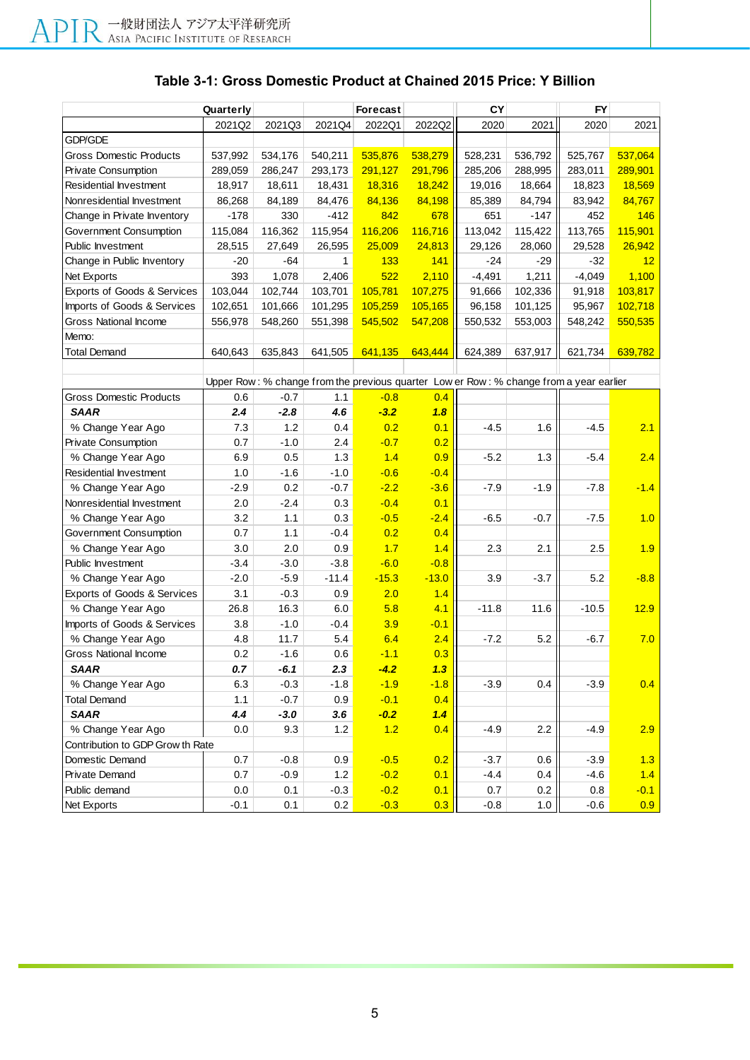## **Table 3-1: Gross Domestic Product at Chained 2015 Price: Y Billion**

|                                  | Quarterly |         |         | <b>Forecast</b> |         | CY       |         | FY                                                                                     |         |
|----------------------------------|-----------|---------|---------|-----------------|---------|----------|---------|----------------------------------------------------------------------------------------|---------|
|                                  | 2021Q2    | 2021Q3  | 2021Q4  | 2022Q1          | 2022Q2  | 2020     | 2021    | 2020                                                                                   | 2021    |
| <b>GDP/GDE</b>                   |           |         |         |                 |         |          |         |                                                                                        |         |
| <b>Gross Domestic Products</b>   | 537,992   | 534,176 | 540,211 | 535,876         | 538,279 | 528,231  | 536,792 | 525,767                                                                                | 537,064 |
| Private Consumption              | 289,059   | 286,247 | 293,173 | 291,127         | 291,796 | 285,206  | 288,995 | 283,011                                                                                | 289,901 |
| Residential Investment           | 18,917    | 18,611  | 18,431  | 18,316          | 18,242  | 19,016   | 18,664  | 18,823                                                                                 | 18,569  |
| Nonresidential Investment        | 86,268    | 84,189  | 84,476  | 84,136          | 84,198  | 85,389   | 84,794  | 83,942                                                                                 | 84,767  |
| Change in Private Inventory      | $-178$    | 330     | $-412$  | 842             | 678     | 651      | -147    | 452                                                                                    | 146     |
| Government Consumption           | 115,084   | 116,362 | 115,954 | 116,206         | 116,716 | 113,042  | 115,422 | 113,765                                                                                | 115,901 |
| Public Investment                | 28,515    | 27,649  | 26,595  | 25,009          | 24,813  | 29,126   | 28,060  | 29,528                                                                                 | 26,942  |
| Change in Public Inventory       | $-20$     | -64     | 1       | 133             | 141     | $-24$    | -29     | -32                                                                                    | 12      |
| Net Exports                      | 393       | 1,078   | 2,406   | 522             | 2,110   | $-4,491$ | 1,211   | $-4,049$                                                                               | 1,100   |
| Exports of Goods & Services      | 103,044   | 102,744 | 103,701 | 105,781         | 107,275 | 91,666   | 102,336 | 91,918                                                                                 | 103,817 |
| Imports of Goods & Services      | 102,651   | 101,666 | 101,295 | 105,259         | 105,165 | 96,158   | 101,125 | 95,967                                                                                 | 102,718 |
| <b>Gross National Income</b>     | 556,978   | 548,260 | 551,398 | 545,502         | 547,208 | 550,532  | 553,003 | 548,242                                                                                | 550,535 |
| Memo:                            |           |         |         |                 |         |          |         |                                                                                        |         |
| <b>Total Demand</b>              | 640,643   | 635,843 | 641,505 | 641,135         | 643,444 | 624,389  | 637,917 | 621,734                                                                                | 639,782 |
|                                  |           |         |         |                 |         |          |         |                                                                                        |         |
|                                  |           |         |         |                 |         |          |         | Upper Row: % change from the previous quarter Low er Row: % change from a year earlier |         |
| Gross Domestic Products          | 0.6       | $-0.7$  | 1.1     | $-0.8$          | 0.4     |          |         |                                                                                        |         |
| <b>SAAR</b>                      | 2.4       | $-2.8$  | 4.6     | $-3.2$          | 1.8     |          |         |                                                                                        |         |
| % Change Year Ago                | 7.3       | 1.2     | 0.4     | 0.2             | 0.1     | $-4.5$   | 1.6     | $-4.5$                                                                                 | 2.1     |
| <b>Private Consumption</b>       | 0.7       | $-1.0$  | 2.4     | $-0.7$          | 0.2     |          |         |                                                                                        |         |
| % Change Year Ago                | 6.9       | 0.5     | 1.3     | 1.4             | 0.9     | $-5.2$   | 1.3     | $-5.4$                                                                                 | 2.4     |
| Residential Investment           | 1.0       | $-1.6$  | $-1.0$  | $-0.6$          | $-0.4$  |          |         |                                                                                        |         |
| % Change Year Ago                | $-2.9$    | 0.2     | $-0.7$  | $-2.2$          | $-3.6$  | $-7.9$   | $-1.9$  | $-7.8$                                                                                 | $-1.4$  |
| Nonresidential Investment        | 2.0       | $-2.4$  | 0.3     | $-0.4$          | 0.1     |          |         |                                                                                        |         |
| % Change Year Ago                | 3.2       | 1.1     | 0.3     | $-0.5$          | $-2.4$  | $-6.5$   | $-0.7$  | $-7.5$                                                                                 | 1.0     |
| Government Consumption           | 0.7       | 1.1     | -0.4    | 0.2             | 0.4     |          |         |                                                                                        |         |
| % Change Year Ago                | 3.0       | 2.0     | 0.9     | 1.7             | 1.4     | 2.3      | 2.1     | 2.5                                                                                    | 1.9     |
| Public Investment                | $-3.4$    | $-3.0$  | $-3.8$  | $-6.0$          | $-0.8$  |          |         |                                                                                        |         |
| % Change Year Ago                | $-2.0$    | $-5.9$  | $-11.4$ | $-15.3$         | $-13.0$ | 3.9      | $-3.7$  | 5.2                                                                                    | $-8.8$  |
| Exports of Goods & Services      | 3.1       | $-0.3$  | 0.9     | 2.0             | 1.4     |          |         |                                                                                        |         |
| % Change Year Ago                | 26.8      | 16.3    | 6.0     | 5.8             | 4.1     | $-11.8$  | 11.6    | $-10.5$                                                                                | 12.9    |
| Imports of Goods & Services      | 3.8       | $-1.0$  | -0.4    | 3.9             | $-0.1$  |          |         |                                                                                        |         |
| % Change Year Ago                | 4.8       | 11.7    | 5.4     | 6.4             | 2.4     | $-7.2$   | 5.2     | $-6.7$                                                                                 | 7.0     |
| Gross National Income            | 0.2       | $-1.6$  | 0.6     | $-1.1$          | 0.3     |          |         |                                                                                        |         |
| <b>SAAR</b>                      | $0.7\,$   | $-6.1$  | 2.3     | $-4.2$          | 1.3     |          |         |                                                                                        |         |
| % Change Year Ago                | 6.3       | $-0.3$  | $-1.8$  | $-1.9$          | $-1.8$  | $-3.9$   | 0.4     | $-3.9$                                                                                 | 0.4     |
| <b>Total Demand</b>              | 1.1       | $-0.7$  | 0.9     | $-0.1$          | 0.4     |          |         |                                                                                        |         |
| <b>SAAR</b>                      | 4.4       | $-3.0$  | 3.6     | $-0.2$          | 1.4     |          |         |                                                                                        |         |
| % Change Year Ago                | 0.0       | 9.3     | 1.2     | 1.2             | 0.4     | $-4.9$   | 2.2     | $-4.9$                                                                                 | 2.9     |
| Contribution to GDP Grow th Rate |           |         |         |                 |         |          |         |                                                                                        |         |
| Domestic Demand                  | 0.7       | $-0.8$  | 0.9     | $-0.5$          | 0.2     | $-3.7$   | 0.6     | $-3.9$                                                                                 | 1.3     |
| Private Demand                   | 0.7       | $-0.9$  | 1.2     | $-0.2$          | 0.1     | $-4.4$   | 0.4     | $-4.6$                                                                                 | 1.4     |
| Public demand                    | 0.0       | 0.1     | $-0.3$  | $-0.2$          | 0.1     | 0.7      | 0.2     | 0.8                                                                                    | $-0.1$  |
| Net Exports                      | $-0.1$    | 0.1     | 0.2     | $-0.3$          | 0.3     | $-0.8$   | 1.0     | $-0.6$                                                                                 | 0.9     |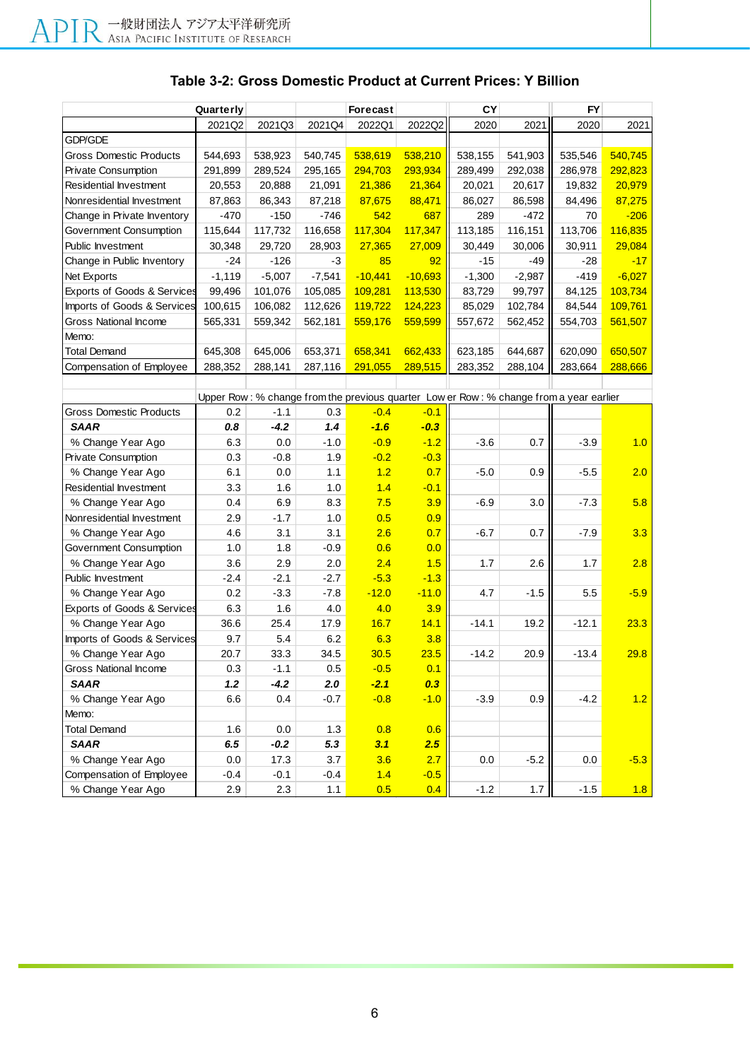| Quarterly                                                                              |          |          | Forecast |           | CY        |          | <b>FY</b> |         |          |  |
|----------------------------------------------------------------------------------------|----------|----------|----------|-----------|-----------|----------|-----------|---------|----------|--|
|                                                                                        | 2021Q2   | 2021Q3   | 2021Q4   | 2022Q1    | 2022Q2    | 2020     | 2021      | 2020    | 2021     |  |
| GDP/GDE                                                                                |          |          |          |           |           |          |           |         |          |  |
| Gross Domestic Products                                                                | 544,693  | 538,923  | 540,745  | 538,619   | 538,210   | 538,155  | 541,903   | 535,546 | 540,745  |  |
| <b>Private Consumption</b>                                                             | 291,899  | 289,524  | 295,165  | 294,703   | 293,934   | 289,499  | 292,038   | 286,978 | 292,823  |  |
| Residential Investment                                                                 | 20,553   | 20,888   | 21,091   | 21,386    | 21,364    | 20,021   | 20,617    | 19,832  | 20,979   |  |
| Nonresidential Investment                                                              | 87,863   | 86,343   | 87,218   | 87,675    | 88,471    | 86,027   | 86,598    | 84,496  | 87,275   |  |
| Change in Private Inventory                                                            | -470     | $-150$   | $-746$   | 542       | 687       | 289      | $-472$    | 70      | $-206$   |  |
| Government Consumption                                                                 | 115,644  | 117,732  | 116,658  | 117,304   | 117,347   | 113,185  | 116,151   | 113,706 | 116,835  |  |
| Public Investment                                                                      | 30,348   | 29,720   | 28,903   | 27,365    | 27,009    | 30,449   | 30,006    | 30,911  | 29,084   |  |
| Change in Public Inventory                                                             | -24      | $-126$   | -3       | 85        | 92        | -15      | -49       | -28     | $-17$    |  |
| Net Exports                                                                            | $-1,119$ | $-5,007$ | $-7,541$ | $-10,441$ | $-10,693$ | $-1,300$ | $-2,987$  | $-419$  | $-6,027$ |  |
| Exports of Goods & Services                                                            | 99,496   | 101,076  | 105,085  | 109,281   | 113,530   | 83,729   | 99,797    | 84,125  | 103,734  |  |
| Imports of Goods & Services                                                            | 100,615  | 106,082  | 112,626  | 119,722   | 124,223   | 85,029   | 102,784   | 84,544  | 109,761  |  |
| Gross National Income                                                                  | 565,331  | 559,342  | 562,181  | 559,176   | 559,599   | 557,672  | 562,452   | 554,703 | 561,507  |  |
| Memo:                                                                                  |          |          |          |           |           |          |           |         |          |  |
| <b>Total Demand</b>                                                                    | 645,308  | 645,006  | 653,371  | 658,341   | 662,433   | 623,185  | 644,687   | 620,090 | 650,507  |  |
| Compensation of Employee                                                               | 288,352  | 288,141  | 287,116  | 291,055   | 289,515   | 283,352  | 288,104   | 283,664 | 288,666  |  |
|                                                                                        |          |          |          |           |           |          |           |         |          |  |
| Upper Row: % change from the previous quarter Low er Row: % change from a year earlier |          |          |          |           |           |          |           |         |          |  |
| <b>Gross Domestic Products</b>                                                         | 0.2      | $-1.1$   | 0.3      | $-0.4$    | $-0.1$    |          |           |         |          |  |
| <b>SAAR</b>                                                                            | 0.8      | $-4.2$   | 1.4      | $-1.6$    | $-0.3$    |          |           |         |          |  |
| % Change Year Ago                                                                      | 6.3      | 0.0      | $-1.0$   | $-0.9$    | $-1.2$    | $-3.6$   | 0.7       | $-3.9$  | 1.0      |  |
| <b>Private Consumption</b>                                                             | 0.3      | $-0.8$   | 1.9      | $-0.2$    | $-0.3$    |          |           |         |          |  |
| % Change Year Ago                                                                      | 6.1      | 0.0      | 1.1      | 1.2       | 0.7       | $-5.0$   | 0.9       | $-5.5$  | 2.0      |  |
| Residential Investment                                                                 | 3.3      | 1.6      | 1.0      | 1.4       | $-0.1$    |          |           |         |          |  |
| % Change Year Ago                                                                      | 0.4      | 6.9      | 8.3      | 7.5       | 3.9       | $-6.9$   | 3.0       | $-7.3$  | 5.8      |  |
| Nonresidential Investment                                                              | 2.9      | $-1.7$   | 1.0      | 0.5       | 0.9       |          |           |         |          |  |
| % Change Year Ago                                                                      | 4.6      | 3.1      | 3.1      | 2.6       | 0.7       | -6.7     | 0.7       | $-7.9$  | 3.3      |  |
| Government Consumption                                                                 | 1.0      | 1.8      | $-0.9$   | 0.6       | 0.0       |          |           |         |          |  |
| % Change Year Ago                                                                      | 3.6      | 2.9      | 2.0      | 2.4       | 1.5       | 1.7      | 2.6       | 1.7     | 2.8      |  |
| Public Investment                                                                      | -2.4     | $-2.1$   | $-2.7$   | $-5.3$    | $-1.3$    |          |           |         |          |  |
| % Change Year Ago                                                                      | 0.2      | $-3.3$   | $-7.8$   | $-12.0$   | $-11.0$   | 4.7      | $-1.5$    | 5.5     | $-5.9$   |  |
| <b>Exports of Goods &amp; Services</b>                                                 | 6.3      | 1.6      | 4.0      | 4.0       | 3.9       |          |           |         |          |  |
| % Change Year Ago                                                                      | 36.6     | 25.4     | 17.9     | 16.7      | 14.1      | $-14.1$  | 19.2      | $-12.1$ | 23.3     |  |
| Imports of Goods & Services                                                            | 9.7      | 5.4      | 6.2      | 6.3       | 3.8       |          |           |         |          |  |
| % Change Year Ago                                                                      | 20.7     | 33.3     | 34.5     | 30.5      | 23.5      | $-14.2$  | 20.9      | $-13.4$ | 29.8     |  |
| Gross National Income                                                                  | 0.3      | $-1.1$   | 0.5      | $-0.5$    | 0.1       |          |           |         |          |  |
| <b>SAAR</b>                                                                            | 1.2      | $-4.2$   | 2.0      | $-2.1$    | 0.3       |          |           |         |          |  |
| % Change Year Ago                                                                      | 6.6      | 0.4      | $-0.7$   | $-0.8$    | $-1.0$    | $-3.9$   | 0.9       | $-4.2$  | 1.2      |  |
| Memo:                                                                                  |          |          |          |           |           |          |           |         |          |  |
| <b>Total Demand</b>                                                                    | 1.6      | $0.0\,$  | 1.3      | 0.8       | 0.6       |          |           |         |          |  |
| <b>SAAR</b>                                                                            | 6.5      | $-0.2$   | 5.3      | 3.1       | 2.5       |          |           |         |          |  |
| % Change Year Ago                                                                      | 0.0      | 17.3     | 3.7      | 3.6       | 2.7       | 0.0      | $-5.2$    | 0.0     | $-5.3$   |  |
| Compensation of Employee                                                               | $-0.4$   | $-0.1$   | $-0.4$   | 1.4       | $-0.5$    |          |           |         |          |  |
| % Change Year Ago                                                                      | 2.9      | 2.3      | 1.1      | 0.5       | 0.4       | $-1.2$   | $1.7$     | $-1.5$  | 1.8      |  |

## **Table 3-2: Gross Domestic Product at Current Prices: Y Billion**